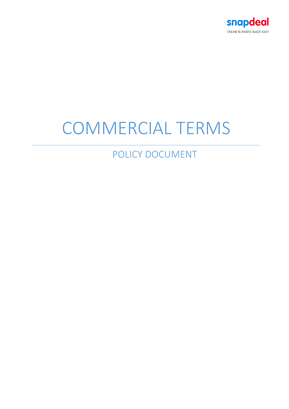

# COMMERCIAL TERMS

POLICY DOCUMENT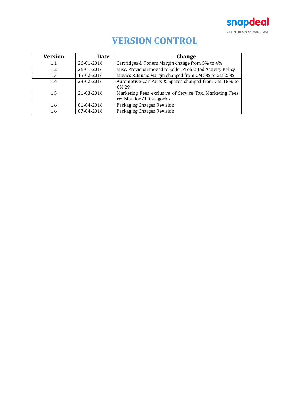

# **VERSION CONTROL**

| <b>Version</b> | <b>Date</b> | <b>Change</b>                                                                          |
|----------------|-------------|----------------------------------------------------------------------------------------|
| $1.1\,$        | 26-01-2016  | Cartridges & Toners Margin change from 5% to 4%                                        |
| 1.2            | 26-01-2016  | Misc. Provision moved to Seller Prohibited Activity Policy                             |
| 1.3            | 15-02-2016  | Movies & Music Margin changed from CM 5% to GM 25%                                     |
| 1.4            | 23-02-2016  | Automotive-Car Parts & Spares changed from GM 18% to<br>CM 2%                          |
| 1.5            | 21-03-2016  | Marketing Fees exclusive of Service Tax. Marketing Fees<br>revision for All Categories |
| 1.6            | 01-04-2016  | Packaging Charges Revision                                                             |
| 1.6            | 07-04-2016  | Packaging Charges Revision                                                             |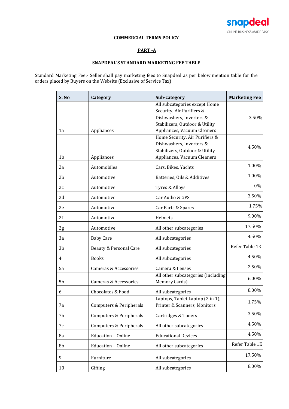

# **COMMERCIAL TERMS POLICY**

# **PART -A**

## **SNAPDEAL'S STANDARD MARKETING FEE TABLE**

Standard Marketing Fee:- Seller shall pay marketing fees to Snapdeal as per below mention table for the orders placed by Buyers on the Website (Exclusive of Service Tax)

| S.No           | Category                | Sub-category                                                                                                                                            | <b>Marketing Fee</b> |
|----------------|-------------------------|---------------------------------------------------------------------------------------------------------------------------------------------------------|----------------------|
| 1a             | Appliances              | All subcategories except Home<br>Security, Air Purifiers &<br>Dishwashers, Inverters &<br>Stabilizers, Outdoor & Utility<br>Appliances, Vacuum Cleaners | 3.50%                |
| 1 <sub>b</sub> | Appliances              | Home Security, Air Purifiers &<br>Dishwashers, Inverters &<br>Stabilizers, Outdoor & Utility<br>Appliances, Vacuum Cleaners                             | 4.50%                |
| 2a             | Automobiles             | Cars, Bikes, Yachts                                                                                                                                     | 1.00%                |
| 2 <sub>b</sub> | Automotive              | Batteries, Oils & Additives                                                                                                                             | 1.00%                |
| 2c             | Automotive              | Tyres & Alloys                                                                                                                                          | 0%                   |
| 2d             | Automotive              | Car Audio & GPS                                                                                                                                         | 3.50%                |
| 2e             | Automotive              | Car Parts & Spares                                                                                                                                      | 1.75%                |
| 2f             | Automotive              | Helmets                                                                                                                                                 | 9.00%                |
| 2g             | Automotive              | All other subcategories                                                                                                                                 | 17.50%               |
| 3a             | <b>Baby Care</b>        | All subcategories                                                                                                                                       | 4.50%                |
| 3b             | Beauty & Personal Care  | All subcategories                                                                                                                                       | Refer Table 1E       |
| 4              | <b>Books</b>            | All subcategories                                                                                                                                       | 4.50%                |
| 5a             | Cameras & Accessories   | Camera & Lenses                                                                                                                                         | 2.50%                |
| 5b             | Cameras & Accessories   | All other subcategories (including<br>Memory Cards)                                                                                                     | 6.00%                |
| 6              | Chocolates & Food       | All subcategories                                                                                                                                       | 8.00%                |
| 7a             | Computers & Peripherals | Laptops, Tablet Laptop (2 in 1),<br>Printer & Scanners, Monitors                                                                                        | 1.75%                |
| 7b             | Computers & Peripherals | Cartridges & Toners                                                                                                                                     | 3.50%                |
| 7c             | Computers & Peripherals | All other subcategories                                                                                                                                 | 4.50%                |
| 8a             | Education - Online      | <b>Educational Devices</b>                                                                                                                              | 4.50%                |
| 8b             | Education - Online      | All other subcategories                                                                                                                                 | Refer Table 1E       |
| 9              | Furniture               | All subcategories                                                                                                                                       | 17.50%               |
| 10             | Gifting                 | All subcategories                                                                                                                                       | 8.00%                |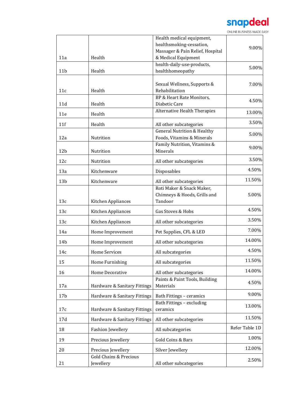# snapdeal

ONLINE BUSINESS MADE EASY

|                 |                                   | Health medical equipment,              |                |
|-----------------|-----------------------------------|----------------------------------------|----------------|
|                 |                                   | healthsmoking-cessation,               | 9.00%          |
|                 |                                   | Massager & Pain Relief, Hospital       |                |
| 11a             | Health                            | & Medical Equipment                    |                |
|                 |                                   | health-daily-use-products,             | 5.00%          |
| 11 <sub>b</sub> | Health                            | healthhomeopathy                       |                |
|                 |                                   | Sexual Wellness, Supports &            | 7.00%          |
| 11c             | Health                            | Rehabilitation                         |                |
|                 |                                   | BP & Heart Rate Monitors,              |                |
| 11d             | Health                            | Diabetic Care                          | 4.50%          |
| 11e             | Health                            | Alternative Health Therapies           | 13.00%         |
| 11f             | Health                            | All other subcategories                | 3.50%          |
|                 |                                   | <b>General Nutrition &amp; Healthy</b> |                |
| 12a             | Nutrition                         | Foods, Vitamins & Minerals             | 5.00%          |
|                 |                                   | Family Nutrition, Vitamins &           |                |
| 12 <sub>b</sub> | Nutrition                         | Minerals                               | 9.00%          |
|                 |                                   |                                        |                |
| 12c             | Nutrition                         | All other subcategories                | 3.50%          |
| 13a             | Kitchenware                       | Disposables                            | 4.50%          |
| 13 <sub>b</sub> | Kitchenware                       | All other subcategories                | 11.50%         |
|                 |                                   | Roti Maker & Snack Maker,              |                |
|                 |                                   | Chimneys & Hoods, Grills and           | 5.00%          |
| 13c             | Kitchen Appliances                | Tandoor                                |                |
| 13c             | Kitchen Appliances                | Gas Stoves & Hobs                      | 4.50%          |
| 13c             | Kitchen Appliances                | All other subcategories                | 3.50%          |
| 14a             | Home Improvement                  | Pet Supplies, CFL & LED                | 7.00%          |
| 14b             | Home Improvement                  | All other subcategories                | 14.00%         |
| 14c             | Home Services                     | All subcategories                      | 4.50%          |
| 15              | Home Furnishing                   | All subcategories                      | 11.50%         |
| 16              | Home Decorative                   | All other subcategories                | 14.00%         |
|                 |                                   | Paints & Paint Tools, Building         |                |
| 17a             | Hardware & Sanitary Fittings      | Materials                              | 4.50%          |
| 17 <sub>b</sub> | Hardware & Sanitary Fittings      | Bath Fittings - ceramics               | 9.00%          |
|                 |                                   | Bath Fittings - excluding              |                |
| 17c             | Hardware & Sanitary Fittings      | ceramics                               | 13.00%         |
| 17d             | Hardware & Sanitary Fittings      | All other subcategories                | 11.50%         |
| 18              | <b>Fashion Jewellery</b>          | All subcategories                      | Refer Table 1D |
| 19              | Precious Jewellery                | Gold Coins & Bars                      | 1.00%          |
| 20              | Precious Jewellery                | Silver Jewellery                       | 12.00%         |
|                 | <b>Gold Chains &amp; Precious</b> |                                        |                |
| 21              | Jewellery                         | All other subcategories                | 2.50%          |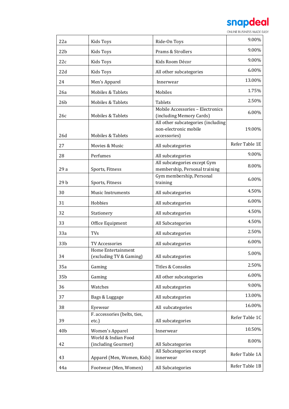

| 22a             | <b>Kids Toys</b>                              | Ride-On Toys                                                                | 9.00%          |
|-----------------|-----------------------------------------------|-----------------------------------------------------------------------------|----------------|
| 22 <sub>b</sub> | Kids Toys                                     | Prams & Strollers                                                           | 9.00%          |
| 22c             | Kids Toys                                     | Kids Room Décor                                                             | 9.00%          |
| 22d             | Kids Toys                                     | All other subcategories                                                     | 6.00%          |
| 24              | Men's Apparel                                 | Innerwear                                                                   | 13.00%         |
| 26a             | Mobiles & Tablets                             | Mobiles                                                                     | 1.75%          |
| 26 <sub>b</sub> | Mobiles & Tablets                             | Tablets                                                                     | 2.50%          |
| 26c             | Mobiles & Tablets                             | Mobile Accessories - Electronics<br>(including Memory Cards)                | 6.00%          |
| 26d             | Mobiles & Tablets                             | All other subcategories (including<br>non-electronic mobile<br>accessories) | 19.00%         |
| 27              | Movies & Music                                | All subcategories                                                           | Refer Table 1E |
| 28              | Perfumes                                      | All subcategories                                                           | 9.00%          |
| 29 a            | Sports, Fitness                               | All subcategories except Gym<br>membership, Personal training               | 8.00%          |
| 29b             | Sports, Fitness                               | Gym membership, Personal<br>training                                        | 6.00%          |
| 30              | <b>Music Instruments</b>                      | All subcategories                                                           | 4.50%          |
| 31              | Hobbies                                       | All subcategories                                                           | 6.00%          |
| 32              | Stationery                                    | All subcategories                                                           | 4.50%          |
| 33              | Office Equipment                              | All Subcategories                                                           | 4.50%          |
| 33a             | <b>TVs</b>                                    | All subcategories                                                           | 2.50%          |
| 33 <sub>b</sub> | <b>TV Accessories</b>                         | All subcategories                                                           | 6.00%          |
| 34              | Home Entertainment<br>(excluding TV & Gaming) | All subcategories                                                           | 5.00%          |
| 35a             | Gaming                                        | Titles & Consoles                                                           | 2.50%          |
| 35b             | Gaming                                        | All other subcategories                                                     | 6.00%          |
| 36              | Watches                                       | All subcategories                                                           | 9.00%          |
| 37              | Bags & Luggage                                | All subcategories                                                           | 13.00%         |
| 38              | Eyewear                                       | All subcategories                                                           | 16.00%         |
| 39              | F. accessories (belts, ties,<br>etc.)         | All subcategories                                                           | Refer Table 1C |
| 40 <sub>b</sub> | Women's Apparel                               | Innerwear                                                                   | 10.50%         |
| 42              | World & Indian Food<br>(including Gourmet)    | All Subcategories                                                           | 8.00%          |
| 43              | Apparel (Men, Women, Kids)                    | All Subcategories except<br>innerwear                                       | Refer Table 1A |
| 44a             | Footwear (Men, Women)                         | All Subcategories                                                           | Refer Table 1B |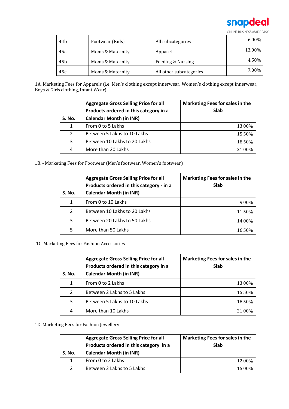

| 44 <sub>b</sub> | Footwear (Kids)  | All subcategories       | $6.00\%$ |
|-----------------|------------------|-------------------------|----------|
| 45a             | Moms & Maternity | Apparel                 | 13.00%   |
| 45 <sub>b</sub> | Moms & Maternity | Feeding & Nursing       | 4.50%    |
| 45c             | Moms & Maternity | All other subcategories | 7.00%    |

1A. Marketing Fees for Apparels (i.e. Men's clothing except innerwear, Women's clothing except innerwear, Boys & Girls clothing, Infant Wear)

| S. No. | <b>Aggregate Gross Selling Price for all</b><br>Products ordered in this category in a<br><b>Calendar Month (in INR)</b> | Marketing Fees for sales in the<br><b>Slab</b> |
|--------|--------------------------------------------------------------------------------------------------------------------------|------------------------------------------------|
| 1      | From 0 to 5 Lakhs                                                                                                        | 13.00%                                         |
| 2      | Between 5 Lakhs to 10 Lakhs                                                                                              | 15.50%                                         |
| 3      | Between 10 Lakhs to 20 Lakhs                                                                                             | 18.50%                                         |
| 4      | More than 20 Lakhs                                                                                                       | 21.00%                                         |

1B. - Marketing Fees for Footwear (Men's footwear, Women's footwear)

| <b>S. No.</b> | <b>Aggregate Gross Selling Price for all</b><br>Products ordered in this category - in a<br><b>Calendar Month (in INR)</b> | Marketing Fees for sales in the<br>Slab |
|---------------|----------------------------------------------------------------------------------------------------------------------------|-----------------------------------------|
| 1             | From 0 to 10 Lakhs                                                                                                         | $9.00\%$                                |
| 2             | Between 10 Lakhs to 20 Lakhs                                                                                               | 11.50%                                  |
| 3             | Between 20 Lakhs to 50 Lakhs                                                                                               | 14.00%                                  |
| 5             | More than 50 Lakhs                                                                                                         | 16.50%                                  |

1C. Marketing Fees for Fashion Accessories

| S. No. | <b>Aggregate Gross Selling Price for all</b><br>Products ordered in this category in a<br><b>Calendar Month (in INR)</b> | Marketing Fees for sales in the<br><b>Slab</b> |
|--------|--------------------------------------------------------------------------------------------------------------------------|------------------------------------------------|
| 1      | From 0 to 2 Lakhs                                                                                                        | 13.00%                                         |
| 2      | Between 2 Lakhs to 5 Lakhs                                                                                               | 15.50%                                         |
| 3      | Between 5 Lakhs to 10 Lakhs                                                                                              | 18.50%                                         |
| 4      | More than 10 Lakhs                                                                                                       | 21.00%                                         |

1D. Marketing Fees for Fashion Jewellery

| S. No.         | <b>Aggregate Gross Selling Price for all</b><br>Products ordered in this category in a<br><b>Calendar Month (in INR)</b> | Marketing Fees for sales in the<br>Slab |
|----------------|--------------------------------------------------------------------------------------------------------------------------|-----------------------------------------|
| $\mathbf 1$    | From 0 to 2 Lakhs                                                                                                        | 12.00%                                  |
| $\overline{2}$ | Between 2 Lakhs to 5 Lakhs                                                                                               | 15.00%                                  |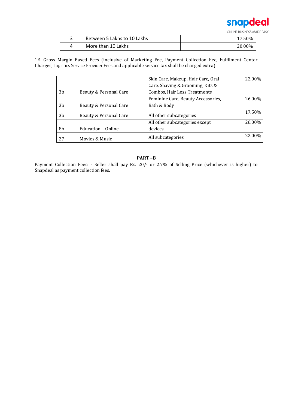

| Between 5 Lakhs to 10 Lakhs | 17.50% |
|-----------------------------|--------|
| More than 10 Lakhs          | 20.00% |

1E. Gross Margin Based Fees (inclusive of Marketing Fee, Payment Collection Fee, Fulfilment Center Charges, Logistics Service Provider Fees and applicable service tax shall be charged extra)

|    |                        | Skin Care, Makeup, Hair Care, Oral | 22.00% |
|----|------------------------|------------------------------------|--------|
|    |                        | Care, Shaving & Grooming, Kits &   |        |
| 3b | Beauty & Personal Care | Combos, Hair Loss Treatments       |        |
|    |                        | Feminine Care, Beauty Accessories, | 26.00% |
| 3b | Beauty & Personal Care | Bath & Body                        |        |
| 3b | Beauty & Personal Care | All other subcategories            | 17.50% |
|    |                        | All other subcategories except     | 26.00% |
| 8b | Education - Online     | devices                            |        |
| 27 | Movies & Music         | All subcategories                  | 22.00% |

# **PART –B**

Payment Collection Fees: - Seller shall pay Rs. 20/- or 2.7% of Selling Price (whichever is higher) to Snapdeal as payment collection fees.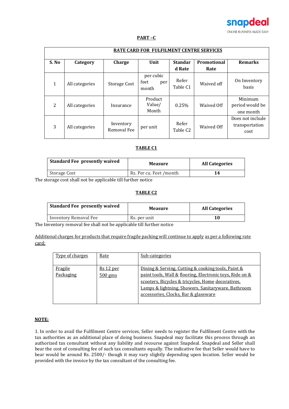

# **PART –C**

| <b>RATE CARD FOR FULFILMENT CENTRE SERVICES</b> |                |                          |                                   |                               |             |                                            |
|-------------------------------------------------|----------------|--------------------------|-----------------------------------|-------------------------------|-------------|--------------------------------------------|
| S. No                                           | Category       | Charge                   | Unit                              | <b>Standar</b>                | Promotional | <b>Remarks</b>                             |
|                                                 |                |                          |                                   | d Rate                        | Rate        |                                            |
| 1                                               | All categories | Storage Cost             | per cubic<br>feet<br>per<br>month | Refer<br>Table C1             | Waived off  | On Inventory<br>basis                      |
| 2                                               | All categories | Insurance                | Product<br>Value/<br>Month        | 0.25%                         | Waived Off  | Minimum<br>period would be<br>one month    |
| 3                                               | All categories | Inventory<br>Removal Fee | per unit                          | Refer<br>Table C <sub>2</sub> | Waived Off  | Does not include<br>transportation<br>cost |

## **TABLE C1**

| <b>Standard Fee presently waived</b> | <b>Measure</b>          | <b>All Categories</b> |
|--------------------------------------|-------------------------|-----------------------|
| Storage Cost                         | Rs. Per cu. Feet /month | 14                    |

The storage cost shall not be applicable till further notice

#### **TABLE C2**

| <b>Standard Fee presently waived</b> | <b>Measure</b> | <b>All Categories</b> |
|--------------------------------------|----------------|-----------------------|
| Inventory Removal Fee                | Rs. per unit   |                       |

The Inventory removal fee shall not be applicable till further notice

Additional charges for products that require fragile packing will continue to apply as per a following rate card:

| Type of charges      | Rate                     | Sub-categories                                                                                                                                                                                                                                                    |
|----------------------|--------------------------|-------------------------------------------------------------------------------------------------------------------------------------------------------------------------------------------------------------------------------------------------------------------|
| Fragile<br>Packaging | $Rs 12$ per<br>$500$ gms | Dining & Serving, Cutting & cooking tools, Paint &<br>paint tools, Wall & flooring, Electronic toys, Ride on &<br>scooters, Bicycles & tricycles, Home decoratives,<br>Lamps & lightning, Showers, Sanitaryware, Bathroom<br>accessories, Clocks, Bar & glassware |

# **NOTE:**

1. In order to avail the Fulfilment Centre services, Seller needs to register the Fulfilment Centre with the tax authorities as an additional place of doing business. Snapdeal may facilitate this process through an authorized tax consultant without any liability and recourse against Snapdeal. Snapdeal and Seller shall bear the cost of consulting fee of such tax consultants equally. The indicative fee that Seller would have to bear would be around Rs. 2500/- though it may vary slightly depending upon location. Seller would be provided with the invoice by the tax consultant of the consulting fee.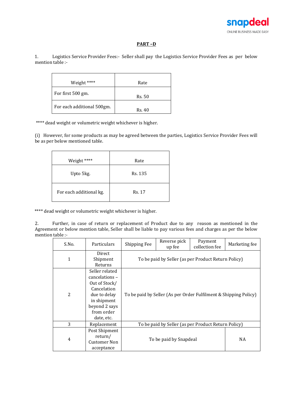

#### **PART –D**

1. Logistics Service Provider Fees:- Seller shall pay the Logistics Service Provider Fees as per below mention table :-

| Weight ****                | Rate   |
|----------------------------|--------|
| For first 500 gm.          | Rs. 50 |
| For each additional 500gm. | Rs. 40 |

\*\*\*\* dead weight or volumetric weight whichever is higher.

(i) However, for some products as may be agreed between the parties, Logistics Service Provider Fees will be as per below mentioned table.

| Weight ****             | Rate    |
|-------------------------|---------|
| Upto 5kg.               | Rs. 135 |
| For each additional kg. | Rs. 17  |

\*\*\*\* dead weight or volumetric weight whichever is higher.

2. Further, in case of return or replacement of Product due to any reason as mentioned in the Agreement or below mention table, Seller shall be liable to pay various fees and charges as per the below mention table :-

| S.No. | Particulars                                                                                                                                  | Shipping Fee                                                     | Reverse pick<br>up fee | Payment<br>collection fee | Marketing fee |
|-------|----------------------------------------------------------------------------------------------------------------------------------------------|------------------------------------------------------------------|------------------------|---------------------------|---------------|
| 1     | Direct                                                                                                                                       | To be paid by Seller (as per Product Return Policy)              |                        |                           |               |
|       | Shipment<br>Returns                                                                                                                          |                                                                  |                        |                           |               |
| 2     | Seller related<br>cancelations -<br>Out of Stock/<br>Cancelation<br>due to delay<br>in shipment<br>beyond 2 says<br>from order<br>date, etc. | To be paid by Seller (As per Order Fulfilment & Shipping Policy) |                        |                           |               |
| 3     | Replacement                                                                                                                                  | To be paid by Seller (as per Product Return Policy)              |                        |                           |               |
| 4     | Post Shipment<br>return/<br><b>Customer Non</b><br>acceptance                                                                                |                                                                  | To be paid by Snapdeal |                           | NA            |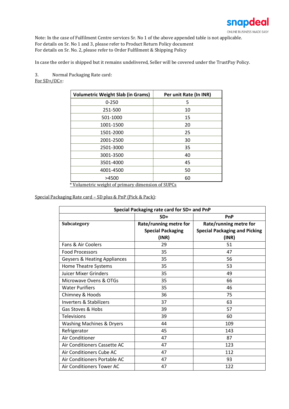

Note: In the case of Fulfilment Centre services Sr. No 1 of the above appended table is not applicable. For details on Sr. No 1 and 3, please refer to Product Return Policy document For details on Sr. No. 2, please refer to Order Fulfilment & Shipping Policy

In case the order is shipped but it remains undelivered, Seller will be covered under the TrustPay Policy.

3. Normal Packaging Rate card: For  $SD+/OC+$ :

| <b>Volumetric Weight Slab (in Grams)</b> | Per unit Rate (In INR) |
|------------------------------------------|------------------------|
| $0 - 250$                                | 5                      |
| 251-500                                  | 10                     |
| 501-1000                                 | 15                     |
| 1001-1500                                | 20                     |
| 1501-2000                                | 25                     |
| 2001-2500                                | 30                     |
| 2501-3000                                | 35                     |
| 3001-3500                                | 40                     |
| 3501-4000                                | 45                     |
| 4001-4500                                | 50                     |
| >4500                                    | 60                     |

\* Volumetric weight of primary dimension of SUPCs

Special Packaging Rate card – SD plus & PnP (Pick & Pack):

| Special Packaging rate card for SD+ and PnP |                          |                                      |  |
|---------------------------------------------|--------------------------|--------------------------------------|--|
|                                             | $SD+$                    | PnP                                  |  |
| <b>Subcategory</b>                          | Rate/running metre for   | Rate/running metre for               |  |
|                                             | <b>Special Packaging</b> | <b>Special Packaging and Picking</b> |  |
|                                             | (INR)                    | (INR)                                |  |
| Fans & Air Coolers                          | 29                       | 51                                   |  |
| <b>Food Processors</b>                      | 35                       | 47                                   |  |
| Geysers & Heating Appliances                | 35                       | 56                                   |  |
| Home Theatre Systems                        | 35                       | 53                                   |  |
| <b>Juicer Mixer Grinders</b>                | 35                       | 49                                   |  |
| Microwave Ovens & OTGs                      | 35                       | 66                                   |  |
| <b>Water Purifiers</b>                      | 35                       | 46                                   |  |
| Chimney & Hoods                             | 36                       | 75                                   |  |
| Inverters & Stabilizers                     | 37                       | 63                                   |  |
| Gas Stoves & Hobs                           | 39                       | 57                                   |  |
| <b>Televisions</b>                          | 39                       | 60                                   |  |
| <b>Washing Machines &amp; Dryers</b>        | 44                       | 109                                  |  |
| Refrigerator                                | 45                       | 143                                  |  |
| Air Conditioner                             | 47                       | 87                                   |  |
| Air Conditioners Cassette AC                | 47                       | 123                                  |  |
| Air Conditioners Cube AC                    | 47                       | 112                                  |  |
| Air Conditioners Portable AC                | 47                       | 93                                   |  |
| Air Conditioners Tower AC                   | 47                       | 122                                  |  |